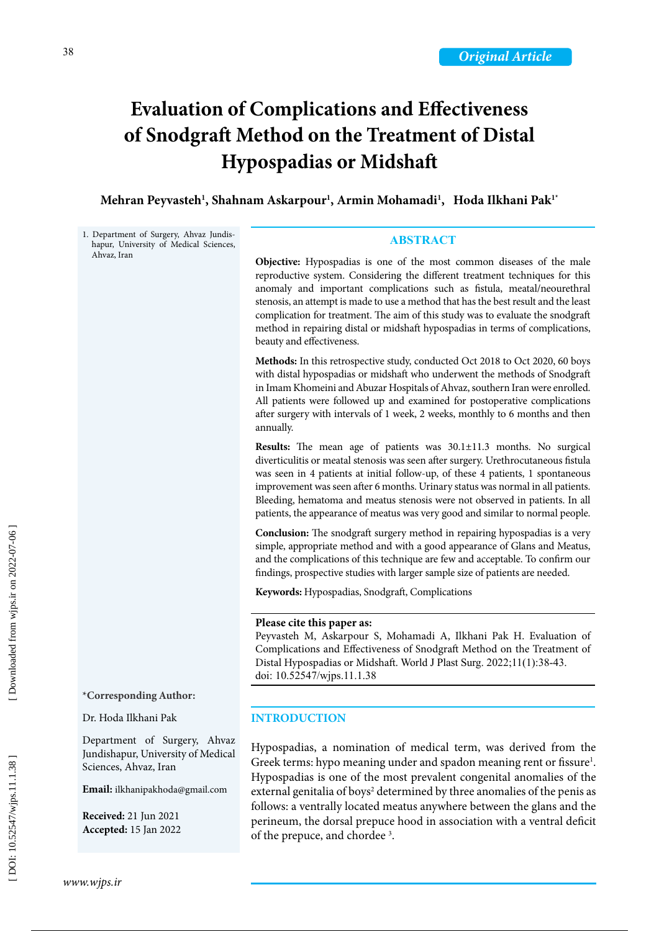# of Snodgraft Method on the Treatment of Distal **Evaluation of Complications and Effectiveness Hypospadias or Midshaft**

**Mehran Peyvasteh 1 , Shahnam Askarpour 1 , Armin Mohamadi 1 , Hoda Ilkhani Pak1\***

1. Department of Surgery, Ahvaz Jundis hapur, University of Medical Sciences, Ahvaz, Iran **\*Corresponding Author:** Dr. Hoda Ilkhani Pak Department of Surgery, Ahvaz Jundishapur, University of Medical Sciences, Ahvaz, Iran **Email:** [ilkhanipakhoda@gmail.com](mailto:ilkhanipakhoda%40gmail.com?subject=) **Received:** 21 Jun 2021 **Accepted:** 15 Jan 2022 **ABSTRACT Objective:** Hypospadias is one of the most common diseases of the male reproductive system. Considering the different treatment techniques for this anomaly and important complications such as fistula, meatal/neourethral stenosis, an attempt is made to use a method that has the best result and the least complication for treatment. The aim of this study was to evaluate the snodgraft method in repairing distal or midshaft hypospadias in terms of complications, beauty and effectiveness. **Methods:** In this retrospective study, conducted Oct 2018 to Oct 2020, 60 boys with distal hypospadias or midshaft who underwent the methods of Snodgraft in Imam Khomeini and Abuzar Hospitals of Ahvaz, southern Iran were enrolled. All patients were followed up and examined for postoperative complications after surgery with intervals of 1 week, 2 weeks, monthly to 6 months and then annually. **Results:** The mean age of patients was 30.1±11.3 months. No surgical diverticulitis or meatal stenosis was seen after surgery. Urethrocutaneous fistula was seen in 4 patients at initial follow-up, of these 4 patients, 1 spontaneous improvement was seen after 6 months. Urinary status was normal in all patients. Bleeding, hematoma and meatus stenosis were not observed in patients. In all patients, the appearance of meatus was very good and similar to normal people. **Conclusion:** The snodgraft surgery method in repairing hypospadias is a very simple, appropriate method and with a good appearance of Glans and Meatus, and the complications of this technique are few and acceptable. To confirm our findings, prospective studies with larger sample size of patients are needed. **Keywords:** Hypospadias, Snodgraft, Complications **Please cite this paper as:** Peyvasteh M, Askarpour S, Mohamadi A, Ilkhani Pak H. Evaluation of Complications and Effectiveness of Snodgraft Method on the Treatment of Distal Hypospadias or Midshaft. World J Plast Surg. 2022;11(1):38-43. doi: 10.52547/wjps.11.1.38 **INTRODUCTION** Hypospadias, a nomination of medical term, was derived from the Greek terms: hypo meaning under and spadon meaning rent or fissure<sup>1</sup>. Hypospadias is one of the most prevalent congenital anomalies of the external genitalia of boys 2 determined by three anomalies of the penis as follows: a ventrally located meatus anywhere between the glans and the perineum, the dorsal prepuce hood in association with a ventral deficit of the prepuce, and chordee 3 .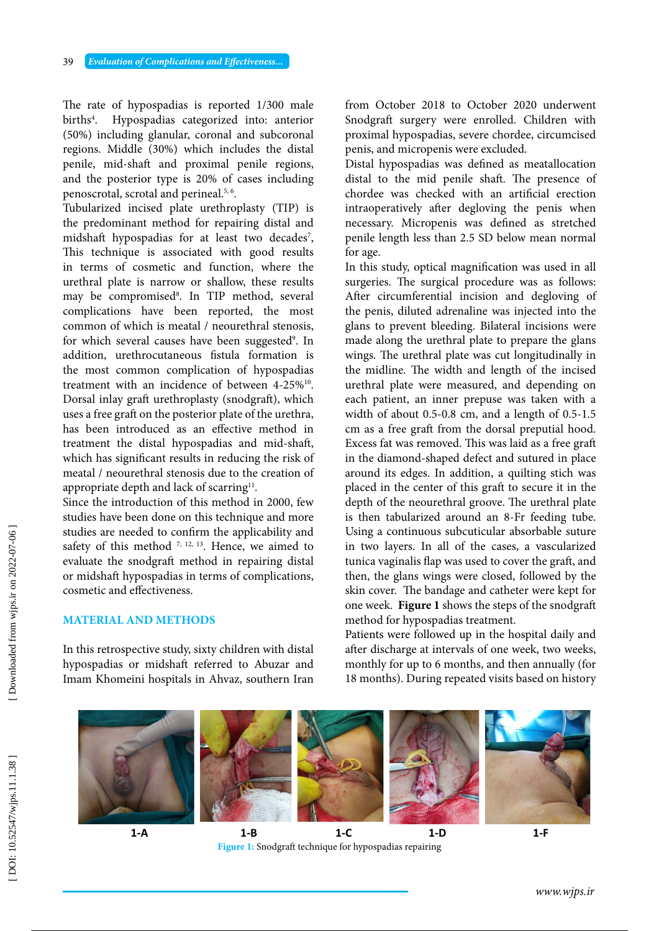The rate of hypospadias is reported 1/300 male births 4 . Hypospadias categorized into: anterior (50%) including glanular, coronal and subcoronal regions. Middle (30%) which includes the distal penile, mid-shaft and proximal penile regions, and the posterior type is 20% of cases including penoscrotal, scrotal and perineal.5, 6.

Tubularized incised plate urethroplasty (TIP) is the predominant method for repairing distal and midshaft hypospadias for at least two decades 7 , This technique is associated with good results in terms of cosmetic and function, where the urethral plate is narrow or shallow, these results may be compromised 8 . In TIP method, several complications have been reported, the most common of which is meatal / neourethral stenosis, for which several causes have been suggested<sup>9</sup>. In addition, urethrocutaneous fistula formation is the most common complication of hypospadias treatment with an incidence of between 4-25%10. Dorsal inlay graft urethroplasty (snodgraft), which uses a free graft on the posterior plate of the urethra, has been introduced as an effective method in treatment the distal hypospadias and mid-shaft, which has significant results in reducing the risk of meatal / neourethral stenosis due to the creation of appropriate depth and lack of scarring<sup>11</sup>.

Since the introduction of this method in 2000, few studies have been done on this technique and more studies are needed to confirm the applicability and safety of this method  $7, 12, 13$ . Hence, we aimed to evaluate the snodgraft method in repairing distal or midshaft hypospadias in terms of complications, cosmetic and effectiveness.

### **MATERIAL AND METHODS**

In this retrospective study, sixty children with distal hypospadias or midshaft referred to Abuzar and Imam Khomeini hospitals in Ahvaz, southern Iran

from October 2018 to October 2020 underwent Snodgraft surgery were enrolled. Children with proximal hypospadias, severe chordee, circumcised penis, and micropenis were excluded.

Distal hypospadias was defined as meatallocation distal to the mid penile shaft. The presence of chordee was checked with an artificial erection intraoperatively after degloving the penis when necessary. Micropenis was defined as stretched penile length less than 2.5 SD below mean normal for age.

In this study, optical magnification was used in all surgeries. The surgical procedure was as follows: After circumferential incision and degloving of the penis, diluted adrenaline was injected into the glans to prevent bleeding. Bilateral incisions were made along the urethral plate to prepare the glans wings. The urethral plate was cut longitudinally in the midline. The width and length of the incised urethral plate were measured, and depending on each patient, an inner prepuse was taken with a width of about 0.5-0.8 cm, and a length of 0.5-1.5 cm as a free graft from the dorsal preputial hood. Excess fat was removed. This was laid as a free graft in the diamond-shaped defect and sutured in place around its edges. In addition, a quilting stich was placed in the center of this graft to secure it in the depth of the neourethral groove. The urethral plate is then tabularized around an 8-Fr feeding tube. Using a continuous subcuticular absorbable suture in two layers. In all of the cases, a vascularized tunica vaginalis flap was used to cover the graft, and then, the glans wings were closed, followed by the skin cover. The bandage and catheter were kept for one week. **Figure 1** shows the steps of the snodgraft method for hypospadias treatment.

Patients were followed up in the hospital daily and after discharge at intervals of one week, two weeks, monthly for up to 6 months, and then annually (for 18 months). During repeated visits based on history



Figure 1: Snodgraft technique for hypospadias repairing **1 - B 1 - C 1 - D**

**Figure 1:** Snodgraft technique for hypospadias repairing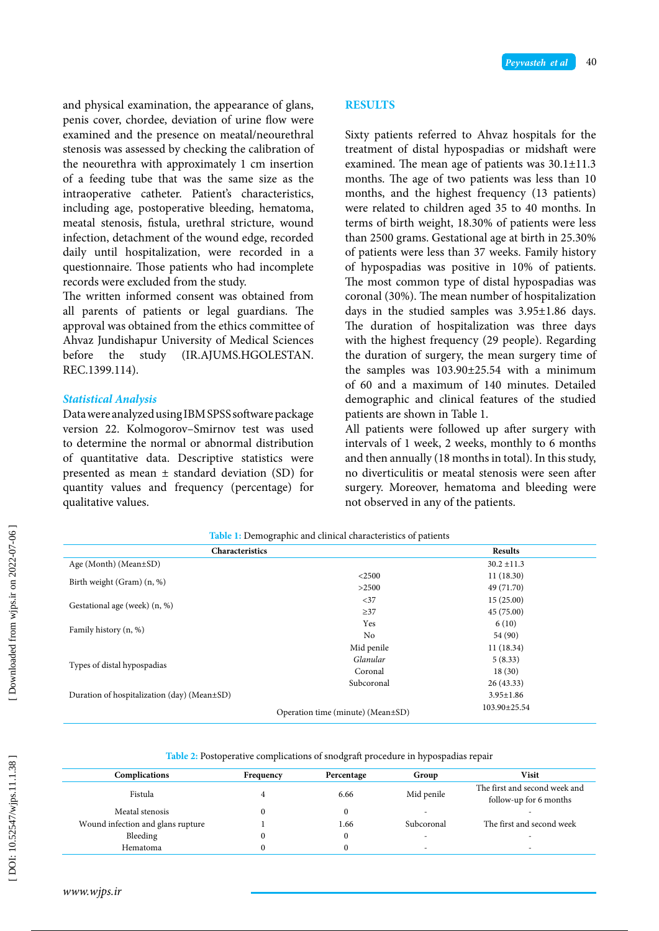and physical examination, the appearance of glans, penis cover, chordee, deviation of urine flow were examined and the presence on meatal/neourethral stenosis was assessed by checking the calibration of the neourethra with approximately 1 cm insertion of a feeding tube that was the same size as the intraoperative catheter. Patient's characteristics, including age, postoperative bleeding, hematoma, meatal stenosis, fistula, urethral stricture, wound infection, detachment of the wound edge, recorded daily until hospitalization, were recorded in a questionnaire. Those patients who had incomplete records were excluded from the study.

The written informed consent was obtained from all parents of patients or legal guardians. The approval was obtained from the ethics committee of Ahvaz Jundishapur University of Medical Sciences before the study (IR.AJUMS.HGOLESTAN. REC.1399.114).

# *Statistical Analysis*

Data were analyzed using IBM SPSS software package version 22. Kolmogorov–Smirnov test was used to determine the normal or abnormal distribution of quantitative data. Descriptive statistics were presented as mean ± standard deviation (SD) for quantity values and frequency (percentage) for qualitative values.

# **RESULTS**

Sixty patients referred to Ahvaz hospitals for the treatment of distal hypospadias or midshaft were examined. The mean age of patients was 30.1±11.3 months. The age of two patients was less than 10 months, and the highest frequency (13 patients) were related to children aged 35 to 40 months. In terms of birth weight, 18.30% of patients were less than 2500 grams. Gestational age at birth in 25.30% of patients were less than 37 weeks. Family history of hypospadias was positive in 10% of patients. The most common type of distal hypospadias was coronal (30%). The mean number of hospitalization days in the studied samples was 3.95±1.86 days. The duration of hospitalization was three days with the highest frequency (29 people). Regarding the duration of surgery, the mean surgery time of the samples was 103.90±25.54 with a minimum of 60 and a maximum of 140 minutes. Detailed demographic and clinical features of the studied patients are shown in Table 1.

All patients were followed up after surgery with intervals of 1 week, 2 weeks, monthly to 6 months and then annually (18 months in total). In this study, no diverticulitis or meatal stenosis were seen after surgery. Moreover, hematoma and bleeding were not observed in any of the patients.

| <u>2002 - 11 D emograpme and emmedi endiacelle of patients</u> |                                   |                 |  |  |  |
|----------------------------------------------------------------|-----------------------------------|-----------------|--|--|--|
| Characteristics                                                | <b>Results</b>                    |                 |  |  |  |
| Age (Month) (Mean $\pm$ SD)                                    |                                   | $30.2 \pm 11.3$ |  |  |  |
|                                                                | $<$ 2500                          | 11(18.30)       |  |  |  |
| Birth weight (Gram) (n, %)                                     | >2500                             | 49 (71.70)      |  |  |  |
| Gestational age (week) (n, %)                                  | <37                               | 15(25.00)       |  |  |  |
|                                                                | $\geq$ 37                         | 45 (75.00)      |  |  |  |
| Family history (n, %)                                          | Yes                               | 6(10)           |  |  |  |
|                                                                | N <sub>o</sub>                    | 54 (90)         |  |  |  |
|                                                                | Mid penile                        | 11(18.34)       |  |  |  |
| Types of distal hypospadias                                    | Glanular                          | 5(8.33)         |  |  |  |
|                                                                | Coronal                           | 18(30)          |  |  |  |
|                                                                | Subcoronal                        | 26(43.33)       |  |  |  |
| Duration of hospitalization (day) (Mean±SD)                    |                                   | $3.95 \pm 1.86$ |  |  |  |
|                                                                | Operation time (minute) (Mean±SD) | 103.90±25.54    |  |  |  |

**Table 1:** Demographic and clinical characteristics of patients **Table 1:** Demographic and clinical characteristics of patients

| Table 2: Postoperative complications of snodgraft procedure in hypospadias repair |
|-----------------------------------------------------------------------------------|

|                                   |           | . .        |            |                                                         |
|-----------------------------------|-----------|------------|------------|---------------------------------------------------------|
| Complications                     | Frequency | Percentage | Group      | Visit                                                   |
| Fistula                           |           | 6.66       | Mid penile | The first and second week and<br>follow-up for 6 months |
| Meatal stenosis                   |           |            |            |                                                         |
| Wound infection and glans rupture |           | l.66       | Subcoronal | The first and second week                               |
| Bleeding                          |           |            | -          | ۰                                                       |
| Hematoma                          |           |            |            | $\overline{\phantom{a}}$                                |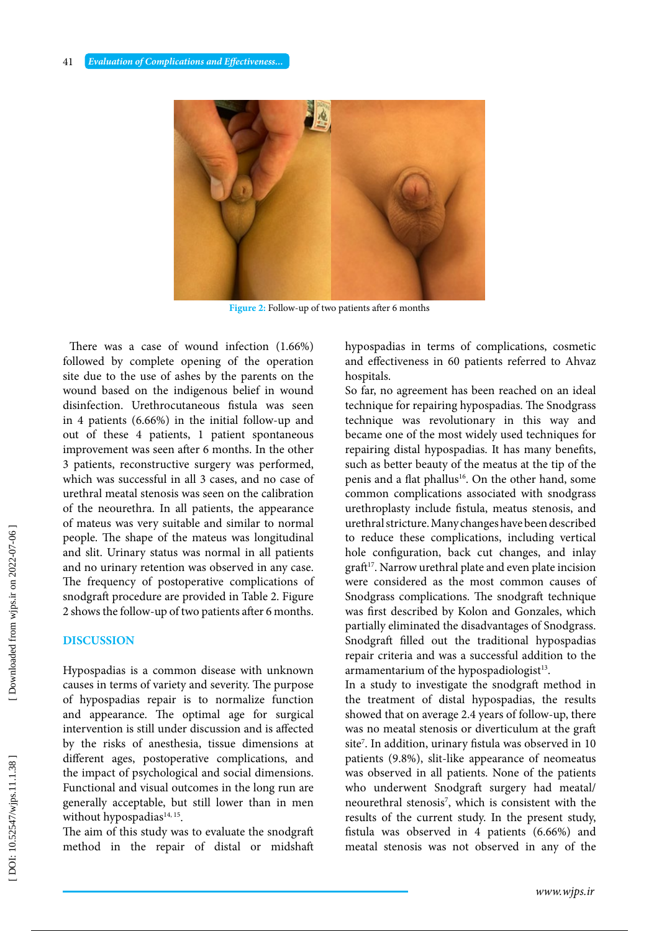

**Figure 2:** Follow-up of two patients after 6 months

 There was a case of wound infection (1.66%) followed by complete opening of the operation site due to the use of ashes by the parents on the wound based on the indigenous belief in wound disinfection. Urethrocutaneous fistula was seen in 4 patients (6.66%) in the initial follow-up and out of these 4 patients, 1 patient spontaneous improvement was seen after 6 months. In the other 3 patients, reconstructive surgery was performed, which was successful in all 3 cases, and no case of urethral meatal stenosis was seen on the calibration of the neourethra. In all patients, the appearance of mateus was very suitable and similar to normal people. The shape of the mateus was longitudinal and slit. Urinary status was normal in all patients and sint. Urinary status was normal in all patients<br>  $\frac{S_1}{S_2}$  and no urinary retention was observed in any case. The frequency of postoperative complications of snodgraft procedure are provided in Table 2. Figure 2 shows the follow-up of two patients after 6 months.

#### **DISCUSSION**

Hypospadias is a common disease with unknown causes in terms of variety and severity. The purpose of hypospadias repair is to normalize function and appearance. The optimal age for surgical intervention is still under discussion and is affected by the risks of anesthesia, tissue dimensions at different ages, postoperative complications, and the impact of psychological and social dimensions. Functional and visual outcomes in the long run are generally acceptable, but still lower than in men without hypospadias<sup>14, 15</sup>.

The aim of this study was to evaluate the snodgraft method in the repair of distal or midshaft hypospadias in terms of complications, cosmetic and effectiveness in 60 patients referred to Ahvaz hospitals.

So far, no agreement has been reached on an ideal technique for repairing hypospadias. The Snodgrass w-up and technique was revolutionary in this way and became one of the most widely used techniques for repairing distal hypospadias. It has many benefits, such as better beauty of the meatus at the tip of the penis and a flat phallus<sup>16</sup>. On the other hand, some common complications associated with snodgrass urethroplasty include fistula, meatus stenosis, and nethral stricture. Many changes have been described urethral stricture. Many changes have been described to reduce these complications, including vertical hole configuration, back cut changes, and inlay brmal in all patients hole configuration, back cut changes, and inlay<br>bserved in any case. The graft<sup>17</sup>. Narrow urethral plate and even plate incision were considered as the most common causes of Snodgrass complications. The snodgraft technique was first described by Kolon and Gonzales, which partially eliminated the disadvantages of Snodgrass. Snodgraft filled out the traditional hypospadias repair criteria and was a successful addition to the armamentarium of the hypospadiologist<sup>13</sup>.

In a study to investigate the snodgraft method in the treatment of distal hypospadias, the results showed that on average 2.4 years of follow-up, there was no meatal stenosis or diverticulum at the graft site 7 . In addition, urinary fistula was observed in 10 patients (9.8%), slit-like appearance of neomeatus was observed in all patients. None of the patients who underwent Snodgraft surgery had meatal/ neourethral stenosis 7 , which is consistent with the results of the current study. In the present study, fistula was observed in 4 patients (6.66%) and meatal stenosis was not observed in any of the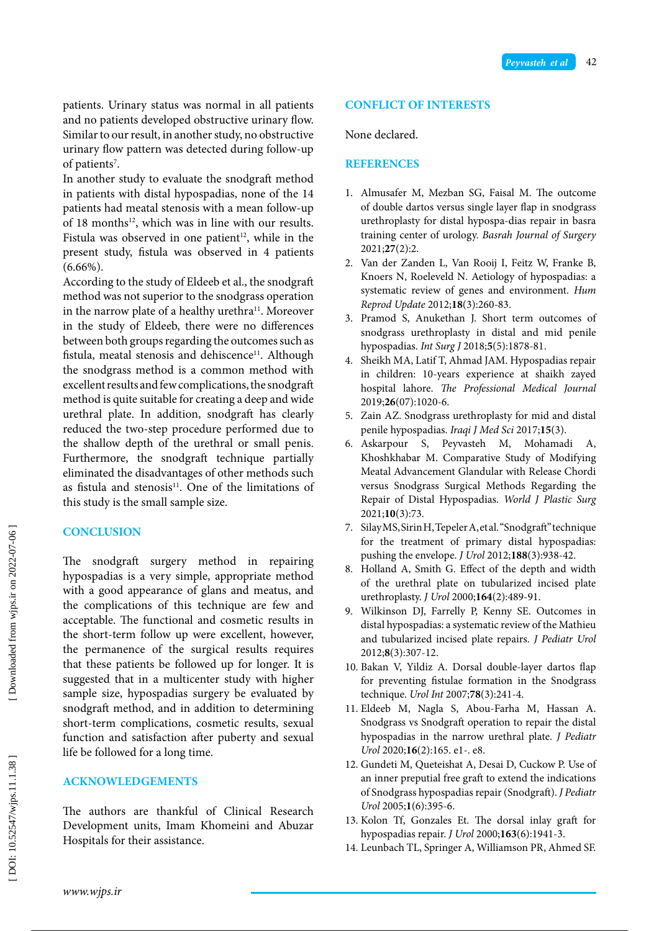patients. Urinary status was normal in all patients and no patients developed obstructive urinary flow. Similar to our result, in another study, no obstructive urinary flow pattern was detected during follow-up of patients 7 .

In another study to evaluate the snodgraft method in patients with distal hypospadias, none of the 14 patients had meatal stenosis with a mean follow-up of 18 months $12$ , which was in line with our results. Fistula was observed in one patient<sup>12</sup>, while in the present study, fistula was observed in 4 patients  $(6.66\%)$ .

According to the study of Eldeeb et al., the snodgraft method was not superior to the snodgrass operation in the narrow plate of a healthy urethra<sup>11</sup>. Moreover in the study of Eldeeb, there were no differences between both groups regarding the outcomes such as fistula, meatal stenosis and dehiscence<sup>11</sup>. Although the snodgrass method is a common method with excellent results and few complications, the snodgraft method is quite suitable for creating a deep and wide urethral plate. In addition, snodgraft has clearly reduced the two-step procedure performed due to the shallow depth of the urethral or small penis. Furthermore, the snodgraft technique partially eliminated the disadvantages of other methods such as fistula and stenosis<sup>11</sup>. One of the limitations of this study is the small sample size.

# **CONCLUSION**

The snodgraft surgery method in repairing hypospadias is a very simple, appropriate method with a good appearance of glans and meatus, and the complications of this technique are few and acceptable. The functional and cosmetic results in the short-term follow up were excellent, however, the permanence of the surgical results requires that these patients be followed up for longer. It is suggested that in a multicenter study with higher sample size, hypospadias surgery be evaluated by snodgraft method, and in addition to determining short-term complications, cosmetic results, sexual function and satisfaction after puberty and sexual life be followed for a long time.

# **ACKNOWLEDGEMENTS**

The authors are thankful of Clinical Research Development units, Imam Khomeini and Abuzar Hospitals for their assistance.

#### **CONFLICT OF INTERESTS**

None declared.

#### **REFERENCES**

- 1. Almusafer M, Mezban SG, Faisal M. The outcome of double dartos versus single layer flap in snodgrass urethroplasty for distal hypospa-dias repair in basra training center of urology. *Basrah Journal of Surgery* 2021;**27**(2):2.
- 2. Van der Zanden L, Van Rooij I, Feitz W, Franke B, Knoers N, Roeleveld N. Aetiology of hypospadias: a systematic review of genes and environment. *Hum Reprod Update* 2012;**18**(3):260-83.
- 3. Pramod S, Anukethan J. Short term outcomes of snodgrass urethroplasty in distal and mid penile hypospadias. *Int Surg J* 2018; **5**(5):1878-81.
- 4. Sheikh MA, Latif T, Ahmad JAM. Hypospadias repair in children: 10-years experience at shaikh zayed hospital lahore. *The Professional Medical Journal* 2019;**26**(07):1020-6.
- 5. Zain AZ. Snodgrass urethroplasty for mid and distal penile hypospadias. *Iraqi J Med Sci* 2017;**15**(3).
- 6. Askarpour S, Peyvasteh M, Mohamadi A, Khoshkhabar M. Comparative Study of Modifying Meatal Advancement Glandular with Release Chordi versus Snodgrass Surgical Methods Regarding the Repair of Distal Hypospadias. *World J Plastic Surg* 2021;**10**(3):73.
- 7. Silay MS, Sirin H, Tepeler A, et al. "Snodgraft" technique for the treatment of primary distal hypospadias: pushing the envelope. *J Urol* 2012;**188**(3):938-42.
- 8. Holland A, Smith G. Effect of the depth and width of the urethral plate on tubularized incised plate urethroplasty. *J Urol* 2000;**164**(2):489-91.
- 9. Wilkinson DJ, Farrelly P, Kenny SE. Outcomes in distal hypospadias: a systematic review of the Mathieu and tubularized incised plate repairs. *J Pediatr Urol* 2012; **8**(3):307-12.
- 10. Bakan V, Yildiz A. Dorsal double-layer dartos flap for preventing fistulae formation in the Snodgrass technique. *Urol Int* 2007;**78**(3):241-4.
- 11. Eldeeb M, Nagla S, Abou-Farha M, Hassan A. Snodgrass vs Snodgraft operation to repair the distal hypospadias in the narrow urethral plate. *J Pediatr Urol* 2020;**16**(2):165. e1-. e8.
- 12. Gundeti M, Queteishat A, Desai D, Cuckow P. Use of an inner preputial free graft to extend the indications of Snodgrass hypospadias repair (Snodgraft). *J Pediatr Urol* 2005; **1**(6):395-6.
- 13. Kolon Tf, Gonzales Et. The dorsal inlay graft for hypospadias repair. *J Urol* 2000;**163**(6):1941-3.
- 14. Leunbach TL, Springer A, Williamson PR, Ahmed SF.